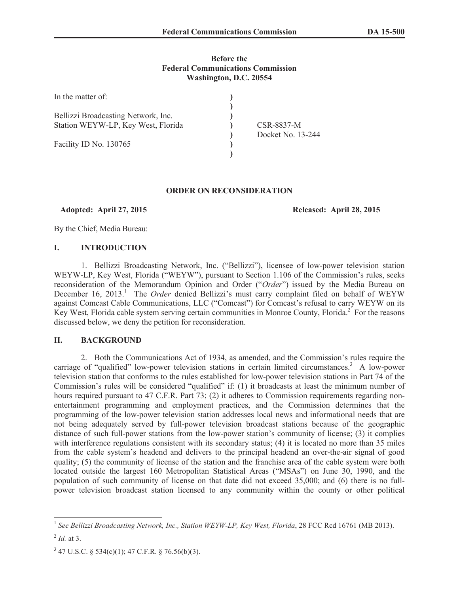### **Before the Federal Communications Commission Washington, D.C. 20554**

| In the matter of:                   |                   |
|-------------------------------------|-------------------|
| Bellizzi Broadcasting Network, Inc. |                   |
|                                     |                   |
| Station WEYW-LP, Key West, Florida  | CSR-8837-M        |
|                                     | Docket No. 13-244 |
| Facility ID No. 130765              |                   |
|                                     |                   |

### **ORDER ON RECONSIDERATION**

**Adopted: April 27, 2015 Released: April 28, 2015**

By the Chief, Media Bureau:

### **I. INTRODUCTION**

1. Bellizzi Broadcasting Network, Inc. ("Bellizzi"), licensee of low-power television station WEYW-LP, Key West, Florida ("WEYW"), pursuant to Section 1.106 of the Commission's rules, seeks reconsideration of the Memorandum Opinion and Order ("*Order*") issued by the Media Bureau on December 16, 2013.<sup>1</sup> The *Order* denied Bellizzi's must carry complaint filed on behalf of WEYW against Comcast Cable Communications, LLC ("Comcast") for Comcast's refusal to carry WEYW on its Key West, Florida cable system serving certain communities in Monroe County, Florida.<sup>2</sup> For the reasons discussed below, we deny the petition for reconsideration.

## **II. BACKGROUND**

2. Both the Communications Act of 1934, as amended, and the Commission's rules require the carriage of "qualified" low-power television stations in certain limited circumstances.<sup>3</sup> A low-power television station that conforms to the rules established for low-power television stations in Part 74 of the Commission's rules will be considered "qualified" if: (1) it broadcasts at least the minimum number of hours required pursuant to 47 C.F.R. Part 73; (2) it adheres to Commission requirements regarding nonentertainment programming and employment practices, and the Commission determines that the programming of the low-power television station addresses local news and informational needs that are not being adequately served by full-power television broadcast stations because of the geographic distance of such full-power stations from the low-power station's community of license; (3) it complies with interference regulations consistent with its secondary status; (4) it is located no more than 35 miles from the cable system's headend and delivers to the principal headend an over-the-air signal of good quality; (5) the community of license of the station and the franchise area of the cable system were both located outside the largest 160 Metropolitan Statistical Areas ("MSAs") on June 30, 1990, and the population of such community of license on that date did not exceed 35,000; and (6) there is no fullpower television broadcast station licensed to any community within the county or other political

<sup>&</sup>lt;sup>1</sup> See Bellizzi Broadcasting Network, Inc., Station WEYW-LP, Key West, Florida, 28 FCC Rcd 16761 (MB 2013).

<sup>2</sup> *Id.* at 3.

 $3$  47 U.S.C. § 534(c)(1); 47 C.F.R. § 76.56(b)(3).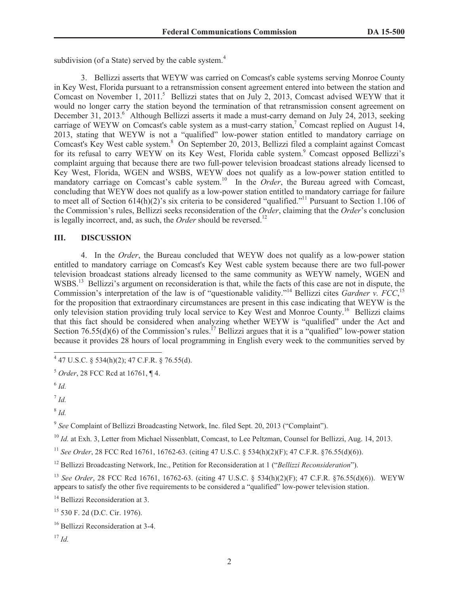subdivision (of a State) served by the cable system.<sup>4</sup>

3. Bellizzi asserts that WEYW was carried on Comcast's cable systems serving Monroe County in Key West, Florida pursuant to a retransmission consent agreement entered into between the station and Comcast on November 1, 2011.<sup>5</sup> Bellizzi states that on July 2, 2013, Comcast advised WEYW that it would no longer carry the station beyond the termination of that retransmission consent agreement on December 31, 2013.<sup>6</sup> Although Bellizzi asserts it made a must-carry demand on July 24, 2013, seeking carriage of WEYW on Comcast's cable system as a must-carry station,<sup>7</sup> Comcast replied on August 14, 2013, stating that WEYW is not a "qualified" low-power station entitled to mandatory carriage on Comcast's Key West cable system.<sup>8</sup> On September 20, 2013, Bellizzi filed a complaint against Comcast for its refusal to carry WEYW on its Key West, Florida cable system.<sup>9</sup> Comcast opposed Bellizzi's complaint arguing that because there are two full-power television broadcast stations already licensed to Key West, Florida, WGEN and WSBS, WEYW does not qualify as a low-power station entitled to mandatory carriage on Comcast's cable system.<sup>10</sup> In the *Order*, the Bureau agreed with Comcast, concluding that WEYW does not qualify as a low-power station entitled to mandatory carriage for failure to meet all of Section 614(h)(2)'s six criteria to be considered "qualified."<sup>11</sup> Pursuant to Section 1.106 of the Commission's rules, Bellizzi seeks reconsideration of the *Order*, claiming that the *Order*'s conclusion is legally incorrect, and, as such, the *Order* should be reversed.<sup>12</sup>

### **III. DISCUSSION**

4. In the *Order*, the Bureau concluded that WEYW does not qualify as a low-power station entitled to mandatory carriage on Comcast's Key West cable system because there are two full-power television broadcast stations already licensed to the same community as WEYW namely, WGEN and WSBS.<sup>13</sup> Bellizzi's argument on reconsideration is that, while the facts of this case are not in dispute, the Commission's interpretation of the law is of "questionable validity."<sup>14</sup> Bellizzi cites *Gardner v. FCC*,<sup>15</sup> for the proposition that extraordinary circumstances are present in this case indicating that WEYW is the only television station providing truly local service to Key West and Monroe County.<sup>16</sup> Bellizzi claims that this fact should be considered when analyzing whether WEYW is "qualified" under the Act and Section 76.55(d)(6) of the Commission's rules.<sup>17</sup> Bellizzi argues that it is a "qualified" low-power station because it provides 28 hours of local programming in English every week to the communities served by

7 *Id.*

8 *Id.*

<sup>9</sup> See Complaint of Bellizzi Broadcasting Network, Inc. filed Sept. 20, 2013 ("Complaint").

<sup>10</sup> *Id.* at Exh. 3, Letter from Michael Nissenblatt, Comcast, to Lee Peltzman, Counsel for Bellizzi, Aug. 14, 2013.

<sup>11</sup> *See Order*, 28 FCC Rcd 16761, 16762-63. (citing 47 U.S.C. § 534(h)(2)(F); 47 C.F.R. §76.55(d)(6)).

<sup>12</sup> Bellizzi Broadcasting Network, Inc., Petition for Reconsideration at 1 ("*Bellizzi Reconsideration*").

<sup>13</sup> *See Order*, 28 FCC Rcd 16761, 16762-63. (citing 47 U.S.C. § 534(h)(2)(F); 47 C.F.R. §76.55(d)(6)). WEYW appears to satisfy the other five requirements to be considered a "qualified" low-power television station.

<sup>14</sup> Bellizzi Reconsideration at 3.

<sup>15</sup> 530 F. 2d (D.C. Cir. 1976).

 $4$  47 U.S.C. § 534(h)(2); 47 C.F.R. § 76.55(d).

<sup>5</sup> *Order*, 28 FCC Rcd at 16761, ¶ 4.

<sup>6</sup> *Id.*

<sup>&</sup>lt;sup>16</sup> Bellizzi Reconsideration at 3-4.

<sup>17</sup> *Id.*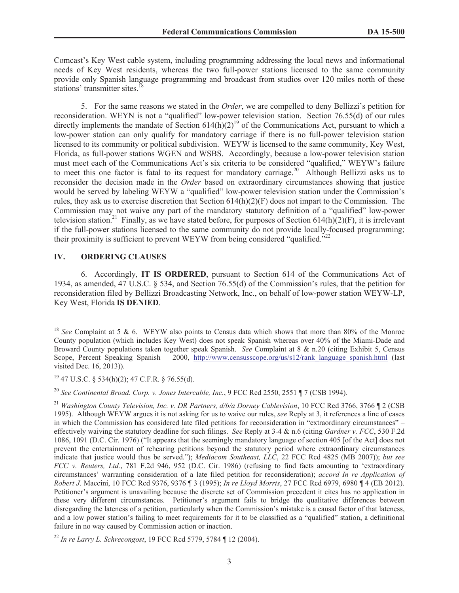Comcast's Key West cable system, including programming addressing the local news and informational needs of Key West residents, whereas the two full-power stations licensed to the same community provide only Spanish language programming and broadcast from studios over 120 miles north of these stations' transmitter sites.<sup>1</sup>

5. For the same reasons we stated in the *Order*, we are compelled to deny Bellizzi's petition for reconsideration. WEYN is not a "qualified" low-power television station. Section 76.55(d) of our rules directly implements the mandate of Section  $614(h)(2)^{19}$  of the Communications Act, pursuant to which a low-power station can only qualify for mandatory carriage if there is no full-power television station licensed to its community or political subdivision. WEYW is licensed to the same community, Key West, Florida, as full-power stations WGEN and WSBS. Accordingly, because a low-power television station must meet each of the Communications Act's six criteria to be considered "qualified," WEYW's failure to meet this one factor is fatal to its request for mandatory carriage.<sup>20</sup> Although Bellizzi asks us to reconsider the decision made in the *Order* based on extraordinary circumstances showing that justice would be served by labeling WEYW a "qualified" low-power television station under the Commission's rules, they ask us to exercise discretion that Section  $614(h)(2)(F)$  does not impart to the Commission. The Commission may not waive any part of the mandatory statutory definition of a "qualified" low-power television station.<sup>21</sup> Finally, as we have stated before, for purposes of Section 614(h)(2)(F), it is irrelevant if the full-power stations licensed to the same community do not provide locally-focused programming; their proximity is sufficient to prevent WEYW from being considered "qualified."<sup>22</sup>

### **IV. ORDERING CLAUSES**

6. Accordingly, **IT IS ORDERED**, pursuant to Section 614 of the Communications Act of 1934, as amended, 47 U.S.C. § 534, and Section 76.55(d) of the Commission's rules, that the petition for reconsideration filed by Bellizzi Broadcasting Network, Inc., on behalf of low-power station WEYW-LP, Key West, Florida **IS DENIED**.

<sup>20</sup> *See Continental Broad. Corp. v. Jones Intercable, Inc.*, 9 FCC Rcd 2550, 2551 ¶ 7 (CSB 1994).

<sup>&</sup>lt;sup>18</sup> *See* Complaint at 5 & 6. WEYW also points to Census data which shows that more than 80% of the Monroe County population (which includes Key West) does not speak Spanish whereas over 40% of the Miami-Dade and Broward County populations taken together speak Spanish. *See* Complaint at 8 & n.20 (citing Exhibit 5, Census Scope, Percent Speaking Spanish – 2000, http://www.censusscope.org/us/s12/rank language spanish.html (last visited Dec. 16, 2013)).

<sup>19</sup> 47 U.S.C. § 534(h)(2); 47 C.F.R. § 76.55(d).

<sup>21</sup> *Washington County Television, Inc. v. DR Partners, d/b/a Dorney Cablevision*, 10 FCC Rcd 3766, 3766 ¶ 2 (CSB 1995). Although WEYW argues it is not asking for us to waive our rules, *see* Reply at 3, it references a line of cases in which the Commission has considered late filed petitions for reconsideration in "extraordinary circumstances" – effectively waiving the statutory deadline for such filings. *See* Reply at 3-4 & n.6 (citing *Gardner v. FCC*, 530 F.2d 1086, 1091 (D.C. Cir. 1976) ("It appears that the seemingly mandatory language of section 405 [of the Act] does not prevent the entertainment of rehearing petitions beyond the statutory period where extraordinary circumstances indicate that justice would thus be served."); *Mediacom Southeast, LLC*, 22 FCC Rcd 4825 (MB 2007)); *but see FCC v. Reuters, Ltd.*, 781 F.2d 946, 952 (D.C. Cir. 1986) (refusing to find facts amounting to 'extraordinary circumstances' warranting consideration of a late filed petition for reconsideration); *accord In re Application of Robert J.* Maccini, 10 FCC Rcd 9376, 9376 ¶ 3 (1995); *In re Lloyd Morris*, 27 FCC Rcd 6979, 6980 ¶ 4 (EB 2012). Petitioner's argument is unavailing because the discrete set of Commission precedent it cites has no application in these very different circumstances. Petitioner's argument fails to bridge the qualitative differences between disregarding the lateness of a petition, particularly when the Commission's mistake is a causal factor of that lateness, and a low power station's failing to meet requirements for it to be classified as a "qualified" station, a definitional failure in no way caused by Commission action or inaction.

<sup>22</sup> *In re Larry L. Schrecongost*, 19 FCC Rcd 5779, 5784 ¶ 12 (2004).